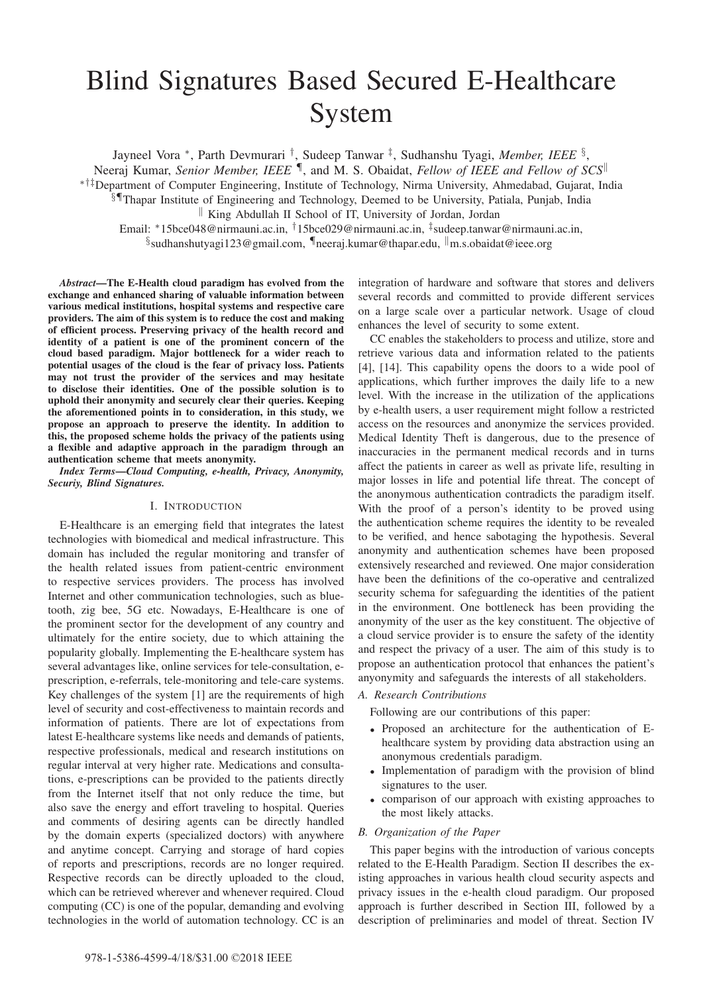# Blind Signatures Based Secured E-Healthcare System

Jayneel Vora ∗, Parth Devmurari †, Sudeep Tanwar ‡, Sudhanshu Tyagi, *Member, IEEE* §,

Neeraj Kumar, *Senior Member, IEEE* ¶, and M. S. Obaidat, *Fellow of IEEE and Fellow of SCS*

∗†‡Department of Computer Engineering, Institute of Technology, Nirma University, Ahmedabad, Gujarat, India

§¶Thapar Institute of Engineering and Technology, Deemed to be University, Patiala, Punjab, India

King Abdullah II School of IT, University of Jordan, Jordan

Email: ∗15bce048@nirmauni.ac.in, †15bce029@nirmauni.ac.in, ‡sudeep.tanwar@nirmauni.ac.in,  $\S$ sudhanshutyagi123@gmail.com, Ineeraj.kumar@thapar.edu,  $\parallel$ m.s.obaidat@ieee.org

*Abstract*—The E-Health cloud paradigm has evolved from the exchange and enhanced sharing of valuable information between various medical institutions, hospital systems and respective care providers. The aim of this system is to reduce the cost and making of efficient process. Preserving privacy of the health record and identity of a patient is one of the prominent concern of the cloud based paradigm. Major bottleneck for a wider reach to potential usages of the cloud is the fear of privacy loss. Patients may not trust the provider of the services and may hesitate to disclose their identities. One of the possible solution is to uphold their anonymity and securely clear their queries. Keeping the aforementioned points in to consideration, in this study, we propose an approach to preserve the identity. In addition to this, the proposed scheme holds the privacy of the patients using a flexible and adaptive approach in the paradigm through an authentication scheme that meets anonymity.

*Index Terms*—*Cloud Computing, e-health, Privacy, Anonymity, Securiy, Blind Signatures.*

#### I. INTRODUCTION

E-Healthcare is an emerging field that integrates the latest technologies with biomedical and medical infrastructure. This domain has included the regular monitoring and transfer of the health related issues from patient-centric environment to respective services providers. The process has involved Internet and other communication technologies, such as bluetooth, zig bee, 5G etc. Nowadays, E-Healthcare is one of the prominent sector for the development of any country and ultimately for the entire society, due to which attaining the popularity globally. Implementing the E-healthcare system has several advantages like, online services for tele-consultation, eprescription, e-referrals, tele-monitoring and tele-care systems. Key challenges of the system [1] are the requirements of high level of security and cost-effectiveness to maintain records and information of patients. There are lot of expectations from latest E-healthcare systems like needs and demands of patients, respective professionals, medical and research institutions on regular interval at very higher rate. Medications and consultations, e-prescriptions can be provided to the patients directly from the Internet itself that not only reduce the time, but also save the energy and effort traveling to hospital. Queries and comments of desiring agents can be directly handled by the domain experts (specialized doctors) with anywhere and anytime concept. Carrying and storage of hard copies of reports and prescriptions, records are no longer required. Respective records can be directly uploaded to the cloud, which can be retrieved wherever and whenever required. Cloud computing (CC) is one of the popular, demanding and evolving technologies in the world of automation technology. CC is an

integration of hardware and software that stores and delivers several records and committed to provide different services on a large scale over a particular network. Usage of cloud enhances the level of security to some extent.

CC enables the stakeholders to process and utilize, store and retrieve various data and information related to the patients [4], [14]. This capability opens the doors to a wide pool of applications, which further improves the daily life to a new level. With the increase in the utilization of the applications by e-health users, a user requirement might follow a restricted access on the resources and anonymize the services provided. Medical Identity Theft is dangerous, due to the presence of inaccuracies in the permanent medical records and in turns affect the patients in career as well as private life, resulting in major losses in life and potential life threat. The concept of the anonymous authentication contradicts the paradigm itself. With the proof of a person's identity to be proved using the authentication scheme requires the identity to be revealed to be verified, and hence sabotaging the hypothesis. Several anonymity and authentication schemes have been proposed extensively researched and reviewed. One major consideration have been the definitions of the co-operative and centralized security schema for safeguarding the identities of the patient in the environment. One bottleneck has been providing the anonymity of the user as the key constituent. The objective of a cloud service provider is to ensure the safety of the identity and respect the privacy of a user. The aim of this study is to propose an authentication protocol that enhances the patient's anyonymity and safeguards the interests of all stakeholders.

# *A. Research Contributions*

Following are our contributions of this paper:

- Proposed an architecture for the authentication of Ehealthcare system by providing data abstraction using an anonymous credentials paradigm.
- Implementation of paradigm with the provision of blind signatures to the user.
- comparison of our approach with existing approaches to the most likely attacks.

### *B. Organization of the Paper*

This paper begins with the introduction of various concepts related to the E-Health Paradigm. Section II describes the existing approaches in various health cloud security aspects and privacy issues in the e-health cloud paradigm. Our proposed approach is further described in Section III, followed by a description of preliminaries and model of threat. Section IV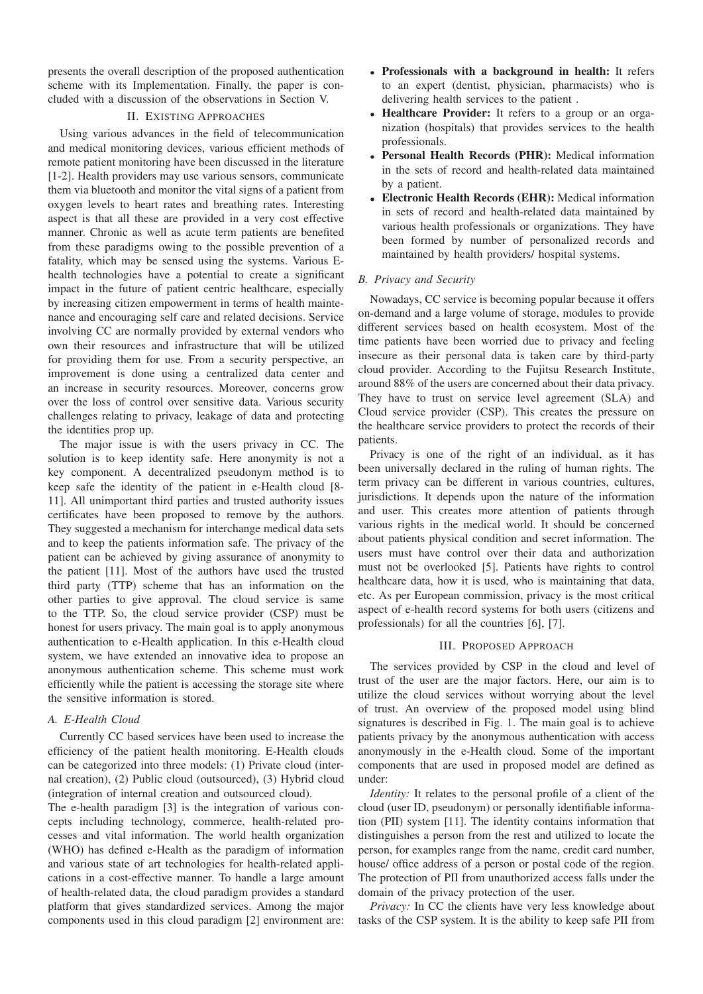presents the overall description of the proposed authentication scheme with its Implementation. Finally, the paper is concluded with a discussion of the observations in Section V.

# II. EXISTING APPROACHES

Using various advances in the field of telecommunication and medical monitoring devices, various efficient methods of remote patient monitoring have been discussed in the literature [1-2]. Health providers may use various sensors, communicate them via bluetooth and monitor the vital signs of a patient from oxygen levels to heart rates and breathing rates. Interesting aspect is that all these are provided in a very cost effective manner. Chronic as well as acute term patients are benefited from these paradigms owing to the possible prevention of a fatality, which may be sensed using the systems. Various Ehealth technologies have a potential to create a significant impact in the future of patient centric healthcare, especially by increasing citizen empowerment in terms of health maintenance and encouraging self care and related decisions. Service involving CC are normally provided by external vendors who own their resources and infrastructure that will be utilized for providing them for use. From a security perspective, an improvement is done using a centralized data center and an increase in security resources. Moreover, concerns grow over the loss of control over sensitive data. Various security challenges relating to privacy, leakage of data and protecting the identities prop up.

The major issue is with the users privacy in CC. The solution is to keep identity safe. Here anonymity is not a key component. A decentralized pseudonym method is to keep safe the identity of the patient in e-Health cloud [8- 11]. All unimportant third parties and trusted authority issues certificates have been proposed to remove by the authors. They suggested a mechanism for interchange medical data sets and to keep the patients information safe. The privacy of the patient can be achieved by giving assurance of anonymity to the patient [11]. Most of the authors have used the trusted third party (TTP) scheme that has an information on the other parties to give approval. The cloud service is same to the TTP. So, the cloud service provider (CSP) must be honest for users privacy. The main goal is to apply anonymous authentication to e-Health application. In this e-Health cloud system, we have extended an innovative idea to propose an anonymous authentication scheme. This scheme must work efficiently while the patient is accessing the storage site where the sensitive information is stored.

# *A. E-Health Cloud*

Currently CC based services have been used to increase the efficiency of the patient health monitoring. E-Health clouds can be categorized into three models: (1) Private cloud (internal creation), (2) Public cloud (outsourced), (3) Hybrid cloud (integration of internal creation and outsourced cloud).

The e-health paradigm [3] is the integration of various concepts including technology, commerce, health-related processes and vital information. The world health organization (WHO) has defined e-Health as the paradigm of information and various state of art technologies for health-related applications in a cost-effective manner. To handle a large amount of health-related data, the cloud paradigm provides a standard platform that gives standardized services. Among the major components used in this cloud paradigm [2] environment are:

- Professionals with a background in health: It refers to an expert (dentist, physician, pharmacists) who is delivering health services to the patient .
- Healthcare Provider: It refers to a group or an organization (hospitals) that provides services to the health professionals.
- Personal Health Records (PHR): Medical information in the sets of record and health-related data maintained by a patient.
- Electronic Health Records (EHR): Medical information in sets of record and health-related data maintained by various health professionals or organizations. They have been formed by number of personalized records and maintained by health providers/ hospital systems.

# *B. Privacy and Security*

Nowadays, CC service is becoming popular because it offers on-demand and a large volume of storage, modules to provide different services based on health ecosystem. Most of the time patients have been worried due to privacy and feeling insecure as their personal data is taken care by third-party cloud provider. According to the Fujitsu Research Institute, around 88% of the users are concerned about their data privacy. They have to trust on service level agreement (SLA) and Cloud service provider (CSP). This creates the pressure on the healthcare service providers to protect the records of their patients.

Privacy is one of the right of an individual, as it has been universally declared in the ruling of human rights. The term privacy can be different in various countries, cultures, jurisdictions. It depends upon the nature of the information and user. This creates more attention of patients through various rights in the medical world. It should be concerned about patients physical condition and secret information. The users must have control over their data and authorization must not be overlooked [5]. Patients have rights to control healthcare data, how it is used, who is maintaining that data, etc. As per European commission, privacy is the most critical aspect of e-health record systems for both users (citizens and professionals) for all the countries [6], [7].

### III. PROPOSED APPROACH

The services provided by CSP in the cloud and level of trust of the user are the major factors. Here, our aim is to utilize the cloud services without worrying about the level of trust. An overview of the proposed model using blind signatures is described in Fig. 1. The main goal is to achieve patients privacy by the anonymous authentication with access anonymously in the e-Health cloud. Some of the important components that are used in proposed model are defined as under:

*Identity:* It relates to the personal profile of a client of the cloud (user ID, pseudonym) or personally identifiable information (PII) system [11]. The identity contains information that distinguishes a person from the rest and utilized to locate the person, for examples range from the name, credit card number, house/ office address of a person or postal code of the region. The protection of PII from unauthorized access falls under the domain of the privacy protection of the user.

*Privacy:* In CC the clients have very less knowledge about tasks of the CSP system. It is the ability to keep safe PII from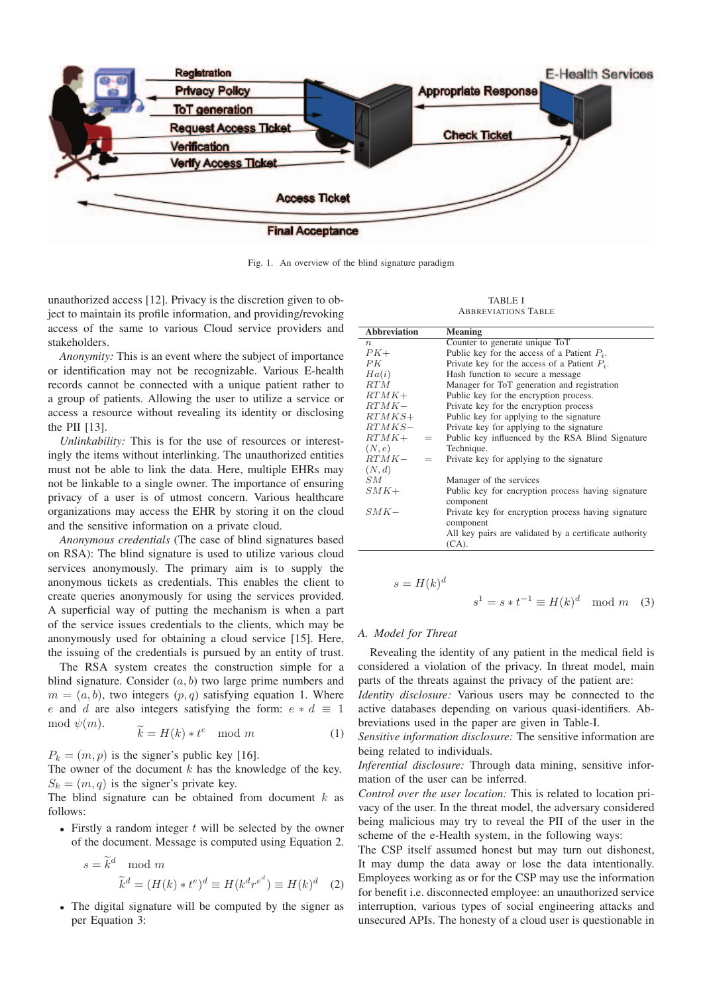

Fig. 1. An overview of the blind signature paradigm

unauthorized access [12]. Privacy is the discretion given to object to maintain its profile information, and providing/revoking access of the same to various Cloud service providers and stakeholders.

*Anonymity:* This is an event where the subject of importance or identification may not be recognizable. Various E-health records cannot be connected with a unique patient rather to a group of patients. Allowing the user to utilize a service or access a resource without revealing its identity or disclosing the PII [13].

*Unlinkability:* This is for the use of resources or interestingly the items without interlinking. The unauthorized entities must not be able to link the data. Here, multiple EHRs may not be linkable to a single owner. The importance of ensuring privacy of a user is of utmost concern. Various healthcare organizations may access the EHR by storing it on the cloud and the sensitive information on a private cloud.

*Anonymous credentials* (The case of blind signatures based on RSA): The blind signature is used to utilize various cloud services anonymously. The primary aim is to supply the anonymous tickets as credentials. This enables the client to create queries anonymously for using the services provided. A superficial way of putting the mechanism is when a part of the service issues credentials to the clients, which may be anonymously used for obtaining a cloud service [15]. Here, the issuing of the credentials is pursued by an entity of trust.

The RSA system creates the construction simple for a blind signature. Consider  $(a, b)$  two large prime numbers and  $m = (a, b)$ , two integers  $(p, q)$  satisfying equation 1. Where e and d are also integers satisfying the form:  $e * d \equiv 1$ <br>mod  $\psi(m)$ . The RSA system<br>blind signature. Cor<br> $m = (a, b)$ , two int<br>e and d are also i<br>mod  $\psi(m)$ .

$$
\widetilde{k} = H(k) * t^e \mod m \tag{1}
$$

 $P_k = (m, p)$  is the signer's public key [16].

The owner of the document  $k$  has the knowledge of the key.  $S_k = (m, q)$  is the signer's private key.

The blind signature can be obtained from document k as<br>follows:<br>• Firstly a random integer t will be selected by the owner<br>of the document. Message is computed using Equation 2.<br> $s = \tilde{k}^d \mod m$ follows:

• Firstly a random integer  $t$  will be selected by the owner of the document. Message is computed using Equation 2.

$$
s = \tilde{k}^d \mod m
$$
  

$$
\tilde{k}^d = (H(k) * t^e)^d \equiv H(k^d r^{e^d}) \equiv H(k)^d \quad (2)
$$

• The digital signature will be computed by the signer as per Equation 3:

TABLE I ABBREVIATIONS TABLE

| <b>Abbreviation</b> | <b>Meaning</b>                                         |
|---------------------|--------------------------------------------------------|
| $\boldsymbol{n}$    | Counter to generate unique ToT                         |
| $PK+$               | Public key for the access of a Patient $P_i$ .         |
| PK                  | Private key for the access of a Patient $P_i$ .        |
| Ha(i)               | Hash function to secure a message.                     |
| RT M                | Manager for ToT generation and registration            |
| $RTMK+$             | Public key for the encryption process.                 |
| $RTMK-$             | Private key for the encryption process                 |
| $RTMKS+$            | Public key for applying to the signature               |
| $RTMKS-$            | Private key for applying to the signature              |
| $RTMK+$ =           | Public key influenced by the RSA Blind Signature       |
| (N,e)               | Technique.                                             |
| $RTMK-$<br>$=$      | Private key for applying to the signature              |
| (N, d)              |                                                        |
| SМ                  | Manager of the services                                |
| $SMK+$              | Public key for encryption process having signature     |
|                     | component                                              |
| $SMK-$              | Private key for encryption process having signature    |
|                     | component                                              |
|                     | All key pairs are validated by a certificate authority |
|                     | $(CA)$ .                                               |

$$
s = H(k)d
$$
  

$$
s1 = s * t-1 \equiv H(k)d \mod m \quad (3)
$$

#### *A. Model for Threat*

Revealing the identity of any patient in the medical field is considered a violation of the privacy. In threat model, main parts of the threats against the privacy of the patient are:

*Identity disclosure:* Various users may be connected to the active databases depending on various quasi-identifiers. Abbreviations used in the paper are given in Table-I.

*Sensitive information disclosure:* The sensitive information are being related to individuals.

*Inferential disclosure:* Through data mining, sensitive information of the user can be inferred.

*Control over the user location:* This is related to location privacy of the user. In the threat model, the adversary considered being malicious may try to reveal the PII of the user in the scheme of the e-Health system, in the following ways:

The CSP itself assumed honest but may turn out dishonest, It may dump the data away or lose the data intentionally. Employees working as or for the CSP may use the information for benefit i.e. disconnected employee: an unauthorized service interruption, various types of social engineering attacks and unsecured APIs. The honesty of a cloud user is questionable in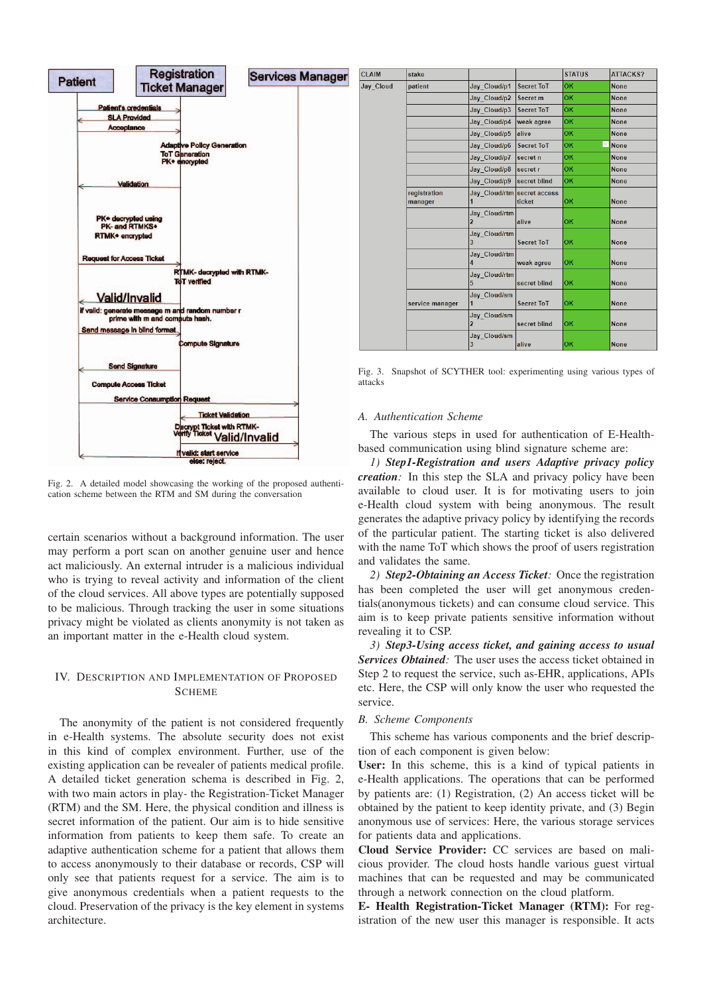

Fig. 2. A detailed model showcasing the working of the proposed authentication scheme between the RTM and SM during the conversation

certain scenarios without a background information. The user may perform a port scan on another genuine user and hence act maliciously. An external intruder is a malicious individual who is trying to reveal activity and information of the client of the cloud services. All above types are potentially supposed to be malicious. Through tracking the user in some situations privacy might be violated as clients anonymity is not taken as an important matter in the e-Health cloud system.

# IV. DESCRIPTION AND IMPLEMENTATION OF PROPOSED SCHEME

The anonymity of the patient is not considered frequently in e-Health systems. The absolute security does not exist in this kind of complex environment. Further, use of the existing application can be revealer of patients medical profile. A detailed ticket generation schema is described in Fig. 2, with two main actors in play- the Registration-Ticket Manager (RTM) and the SM. Here, the physical condition and illness is secret information of the patient. Our aim is to hide sensitive information from patients to keep them safe. To create an adaptive authentication scheme for a patient that allows them to access anonymously to their database or records, CSP will only see that patients request for a service. The aim is to give anonymous credentials when a patient requests to the cloud. Preservation of the privacy is the key element in systems architecture.

| <b>CLAIM</b>     | stake                   |                             |                   | <b>STATUS</b>                  | <b>ATTACKS?</b> |
|------------------|-------------------------|-----------------------------|-------------------|--------------------------------|-----------------|
| <b>Jay Cloud</b> | patient                 | Jay_Cloud/p1                | <b>Secret ToT</b> | OK                             | <b>None</b>     |
|                  |                         | Jay Cloud/p2                | Secret m          | OK                             | <b>None</b>     |
|                  |                         | Jay Cloud/p3                | <b>Secret ToT</b> | OK                             | <b>None</b>     |
|                  |                         | Jay Cloud/p4                | weak agree        | OK                             | <b>None</b>     |
|                  |                         | Jay Cloud/p5                | alive             | OK                             | <b>None</b>     |
|                  |                         | Jay Cloud/p6                | <b>Secret ToT</b> | OK<br>$\overline{\phantom{a}}$ | <b>None</b>     |
|                  |                         | Jay Cloud/p7                | secret n          | OK                             | <b>None</b>     |
|                  |                         | Jay Cloud/p8                | secret r          | OK                             | <b>None</b>     |
|                  |                         | Jay Cloud/p9                | secret blind      | <b>OK</b>                      | <b>None</b>     |
|                  | registration<br>manager | Jay Cloud/rtm secret access | ticket            | OK                             | <b>None</b>     |
|                  |                         | Jay Cloud/rtm               | alive             | OK                             | <b>None</b>     |
|                  |                         | Jay Cloud/rtm<br>3          | <b>Secret ToT</b> | <b>OK</b>                      | <b>None</b>     |
|                  |                         | <b>Jay Cloud/rtm</b><br>4   | weak agree        | OK                             | <b>None</b>     |
|                  |                         | Jay Cloud/rtm<br>5          | secret blind      | OK                             | <b>None</b>     |
|                  | service manager         | Jay Cloud/sm                | <b>Secret ToT</b> | OK                             | <b>None</b>     |
|                  |                         | Jay_Cloud/sm                | secret blind      | OK                             | <b>None</b>     |
|                  |                         | Jay Cloud/sm<br>3           | alive             | OK                             | <b>None</b>     |

Fig. 3. Snapshot of SCYTHER tool: experimenting using various types of attacks

#### *A. Authentication Scheme*

The various steps in used for authentication of E-Healthbased communication using blind signature scheme are:

*1) Step1-Registration and users Adaptive privacy policy creation:* In this step the SLA and privacy policy have been available to cloud user. It is for motivating users to join e-Health cloud system with being anonymous. The result generates the adaptive privacy policy by identifying the records of the particular patient. The starting ticket is also delivered with the name ToT which shows the proof of users registration and validates the same.

*2) Step2-Obtaining an Access Ticket:* Once the registration has been completed the user will get anonymous credentials(anonymous tickets) and can consume cloud service. This aim is to keep private patients sensitive information without revealing it to CSP.

*3) Step3-Using access ticket, and gaining access to usual Services Obtained:* The user uses the access ticket obtained in Step 2 to request the service, such as-EHR, applications, APIs etc. Here, the CSP will only know the user who requested the service.

# *B. Scheme Components*

This scheme has various components and the brief description of each component is given below:

User: In this scheme, this is a kind of typical patients in e-Health applications. The operations that can be performed by patients are: (1) Registration, (2) An access ticket will be obtained by the patient to keep identity private, and (3) Begin anonymous use of services: Here, the various storage services for patients data and applications.

Cloud Service Provider: CC services are based on malicious provider. The cloud hosts handle various guest virtual machines that can be requested and may be communicated through a network connection on the cloud platform.

E- Health Registration-Ticket Manager (RTM): For registration of the new user this manager is responsible. It acts